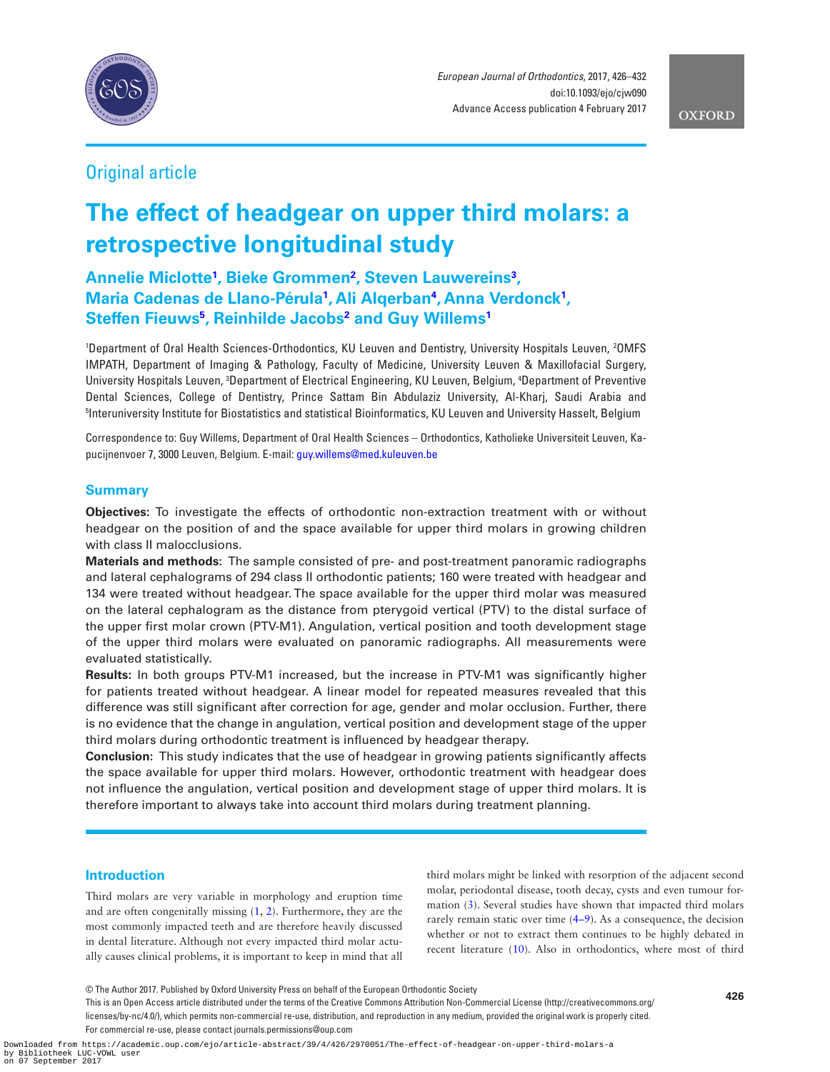

*European Journal of Orthodontics*, 2017, 426–432 doi:10.1093/ejo/cjw090 Advance Access publication 4 February 2017

**OXFORD** 

## Original article

# **The effect of headgear on upper third molars: a retrospective longitudinal study**

**Annelie Miclotte[1](#page-0-0) , Bieke Grommen[2](#page-0-1) , Steven Lauwerein[s3](#page-0-2) , Maria Cadenas de Llano-Pérula<sup>1</sup>, Ali Alqerban<sup>4</sup>, Anna Verdonck<sup>1</sup>, Steffen Fieuw[s5](#page-0-4) , Reinhilde Jacob[s2](#page-0-1) and Guy Willems[1](#page-0-0)**

<span id="page-0-3"></span><span id="page-0-2"></span><span id="page-0-1"></span><span id="page-0-0"></span><sup>1</sup>Department of Oral Health Sciences-Orthodontics, KU Leuven and Dentistry, University Hospitals Leuven, <sup>2</sup>OMFS IMPATH, Department of Imaging & Pathology, Faculty of Medicine, University Leuven & Maxillofacial Surgery, University Hospitals Leuven, <sup>3</sup>Department of Electrical Engineering, KU Leuven, Belgium, <sup>4</sup>Department of Preventive Dental Sciences, College of Dentistry, Prince Sattam Bin Abdulaziz University, Al-Kharj, Saudi Arabia and 5 Interuniversity Institute for Biostatistics and statistical Bioinformatics, KU Leuven and University Hasselt, Belgium

<span id="page-0-4"></span>Correspondence to: Guy Willems, Department of Oral Health Sciences – Orthodontics, Katholieke Universiteit Leuven, Kapucijnenvoer 7, 3000 Leuven, Belgium. E-mail: [guy.willems@med.kuleuven.be](mailto:guy.willems@med.kuleuven.be?subject=)

## **Summary**

**Objectives:** To investigate the effects of orthodontic non-extraction treatment with or without headgear on the position of and the space available for upper third molars in growing children with class II malocclusions.

**Materials and methods:** The sample consisted of pre- and post-treatment panoramic radiographs and lateral cephalograms of 294 class II orthodontic patients; 160 were treated with headgear and 134 were treated without headgear. The space available for the upper third molar was measured on the lateral cephalogram as the distance from pterygoid vertical (PTV) to the distal surface of the upper first molar crown (PTV-M1). Angulation, vertical position and tooth development stage of the upper third molars were evaluated on panoramic radiographs. All measurements were evaluated statistically.

**Results:** In both groups PTV-M1 increased, but the increase in PTV-M1 was significantly higher for patients treated without headgear. A linear model for repeated measures revealed that this difference was still significant after correction for age, gender and molar occlusion. Further, there is no evidence that the change in angulation, vertical position and development stage of the upper third molars during orthodontic treatment is influenced by headgear therapy.

**Conclusion:** This study indicates that the use of headgear in growing patients significantly affects the space available for upper third molars. However, orthodontic treatment with headgear does not influence the angulation, vertical position and development stage of upper third molars. It is therefore important to always take into account third molars during treatment planning.

## **Introduction**

Third molars are very variable in morphology and eruption time and are often congenitally missing [\(1,](#page-5-0) [2\)](#page-5-1). Furthermore, they are the most commonly impacted teeth and are therefore heavily discussed in dental literature. Although not every impacted third molar actually causes clinical problems, it is important to keep in mind that all third molars might be linked with resorption of the adjacent second molar, periodontal disease, tooth decay, cysts and even tumour formation [\(3\)](#page-5-2). Several studies have shown that impacted third molars rarely remain static over time ([4–9\)](#page-5-3). As a consequence, the decision whether or not to extract them continues to be highly debated in recent literature [\(10](#page-5-4)). Also in orthodontics, where most of third

This is an Open Access article distributed under the terms of the Creative Commons Attribution Non-Commercial License (http://creativecommons.org/ licenses/by-nc/4.0/), which permits non-commercial re-use, distribution, and reproduction in any medium, provided the original work is properly cited. For commercial re-use, please contact journals.permissions@oup.com

**<sup>426</sup>** © The Author 2017. Published by Oxford University Press on behalf of the European Orthodontic Society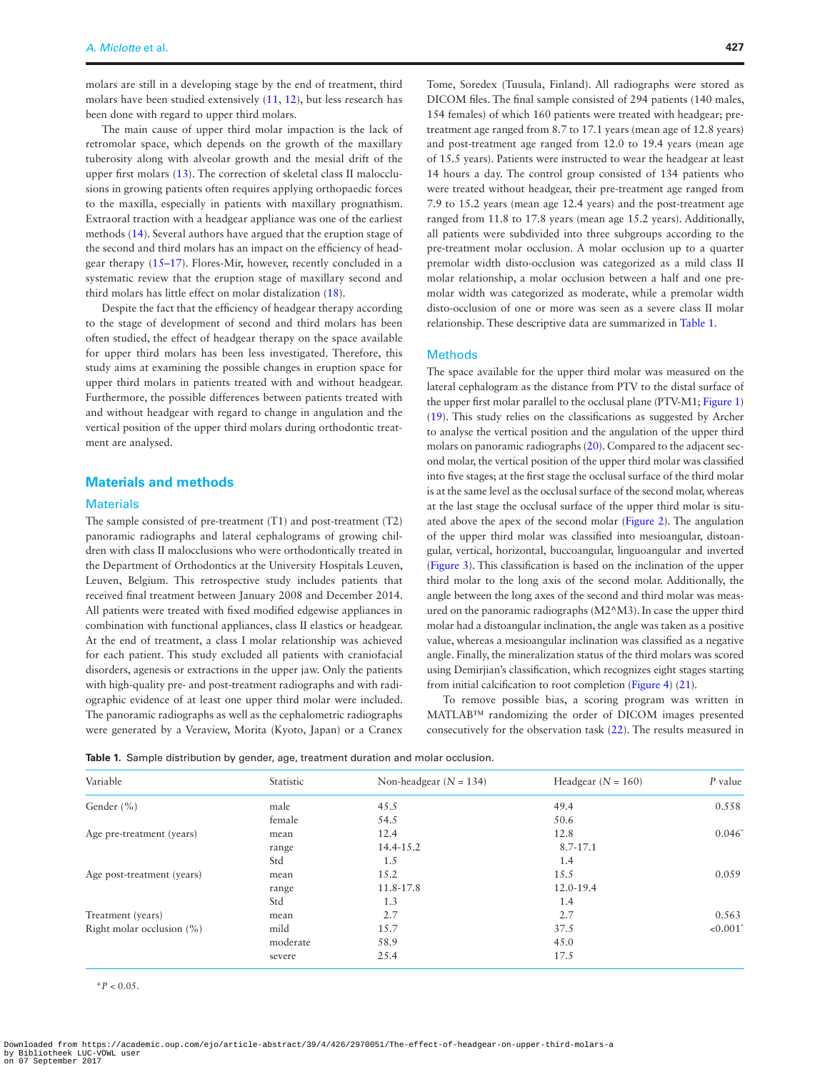molars are still in a developing stage by the end of treatment, third molars have been studied extensively ([11,](#page-5-5) [12\)](#page-5-6), but less research has been done with regard to upper third molars.

The main cause of upper third molar impaction is the lack of retromolar space, which depends on the growth of the maxillary tuberosity along with alveolar growth and the mesial drift of the upper first molars [\(13](#page-6-0)). The correction of skeletal class II malocclusions in growing patients often requires applying orthopaedic forces to the maxilla, especially in patients with maxillary prognathism. Extraoral traction with a headgear appliance was one of the earliest methods [\(14](#page-6-1)). Several authors have argued that the eruption stage of the second and third molars has an impact on the efficiency of headgear therapy [\(15–17](#page-6-2)). Flores-Mir, however, recently concluded in a systematic review that the eruption stage of maxillary second and third molars has little effect on molar distalization [\(18](#page-6-3)).

Despite the fact that the efficiency of headgear therapy according to the stage of development of second and third molars has been often studied, the effect of headgear therapy on the space available for upper third molars has been less investigated. Therefore, this study aims at examining the possible changes in eruption space for upper third molars in patients treated with and without headgear. Furthermore, the possible differences between patients treated with and without headgear with regard to change in angulation and the vertical position of the upper third molars during orthodontic treatment are analysed.

## **Materials and methods**

### **Materials**

The sample consisted of pre-treatment (T1) and post-treatment (T2) panoramic radiographs and lateral cephalograms of growing children with class II malocclusions who were orthodontically treated in the Department of Orthodontics at the University Hospitals Leuven, Leuven, Belgium. This retrospective study includes patients that received final treatment between January 2008 and December 2014. All patients were treated with fixed modified edgewise appliances in combination with functional appliances, class II elastics or headgear. At the end of treatment, a class I molar relationship was achieved for each patient. This study excluded all patients with craniofacial disorders, agenesis or extractions in the upper jaw. Only the patients with high-quality pre- and post-treatment radiographs and with radiographic evidence of at least one upper third molar were included. The panoramic radiographs as well as the cephalometric radiographs were generated by a Veraview, Morita (Kyoto, Japan) or a Cranex

Tome, Soredex (Tuusula, Finland). All radiographs were stored as DICOM files. The final sample consisted of 294 patients (140 males, 154 females) of which 160 patients were treated with headgear; pretreatment age ranged from 8.7 to 17.1 years (mean age of 12.8 years) and post-treatment age ranged from 12.0 to 19.4 years (mean age of 15.5 years). Patients were instructed to wear the headgear at least 14 hours a day. The control group consisted of 134 patients who were treated without headgear, their pre-treatment age ranged from 7.9 to 15.2 years (mean age 12.4 years) and the post-treatment age ranged from 11.8 to 17.8 years (mean age 15.2 years). Additionally, all patients were subdivided into three subgroups according to the pre-treatment molar occlusion. A molar occlusion up to a quarter premolar width disto-occlusion was categorized as a mild class II molar relationship, a molar occlusion between a half and one premolar width was categorized as moderate, while a premolar width disto-occlusion of one or more was seen as a severe class II molar relationship. These descriptive data are summarized in [Table 1](#page-1-0).

## **Methods**

The space available for the upper third molar was measured on the lateral cephalogram as the distance from PTV to the distal surface of the upper first molar parallel to the occlusal plane (PTV-M1; [Figure 1](#page-2-0)) ([19](#page-6-4)). This study relies on the classifications as suggested by Archer to analyse the vertical position and the angulation of the upper third molars on panoramic radiographs [\(20\)](#page-6-5). Compared to the adjacent second molar, the vertical position of the upper third molar was classified into five stages; at the first stage the occlusal surface of the third molar is at the same level as the occlusal surface of the second molar, whereas at the last stage the occlusal surface of the upper third molar is situated above the apex of the second molar ([Figure 2](#page-2-1)). The angulation of the upper third molar was classified into mesioangular, distoangular, vertical, horizontal, buccoangular, linguoangular and inverted ([Figure 3\)](#page-3-0). This classification is based on the inclination of the upper third molar to the long axis of the second molar. Additionally, the angle between the long axes of the second and third molar was measured on the panoramic radiographs (M2^M3). In case the upper third molar had a distoangular inclination, the angle was taken as a positive value, whereas a mesioangular inclination was classified as a negative angle. Finally, the mineralization status of the third molars was scored using Demirjian's classification, which recognizes eight stages starting from initial calcification to root completion [\(Figure 4\)](#page-3-1) [\(21](#page-6-6)).

To remove possible bias, a scoring program was written in MATLAB™ randomizing the order of DICOM images presented consecutively for the observation task [\(22](#page-6-7)). The results measured in

<span id="page-1-0"></span>

|  |  | Table 1. Sample distribution by gender, age, treatment duration and molar occlusion. |  |  |  |  |  |  |  |  |
|--|--|--------------------------------------------------------------------------------------|--|--|--|--|--|--|--|--|
|--|--|--------------------------------------------------------------------------------------|--|--|--|--|--|--|--|--|

| Variable                     | Statistic | Non-headgear $(N = 134)$ | Headgear $(N = 160)$ | P value                |
|------------------------------|-----------|--------------------------|----------------------|------------------------|
| Gender (%)                   | male      | 45.5                     | 49.4                 | 0.558                  |
|                              | female    | 54.5                     | 50.6                 |                        |
| Age pre-treatment (years)    | mean      | 12.4                     | 12.8                 | $0.046^*$              |
|                              | range     | 14.4-15.2                | 8.7-17.1             |                        |
|                              | Std       | 1.5                      | 1.4                  |                        |
| Age post-treatment (years)   | mean      | 15.2                     | 15.5                 | 0.059                  |
|                              | range     | 11.8-17.8                | 12.0-19.4            |                        |
|                              | Std       | 1.3                      | 1.4                  |                        |
| Treatment (years)            | mean      | 2.7                      | 2.7                  | 0.563                  |
| Right molar occlusion $(\%)$ | mild      | 15.7                     | 37.5                 | $< 0.001$ <sup>*</sup> |
|                              | moderate  | 58.9                     | 45.0                 |                        |
|                              | severe    | 25.4                     | 17.5                 |                        |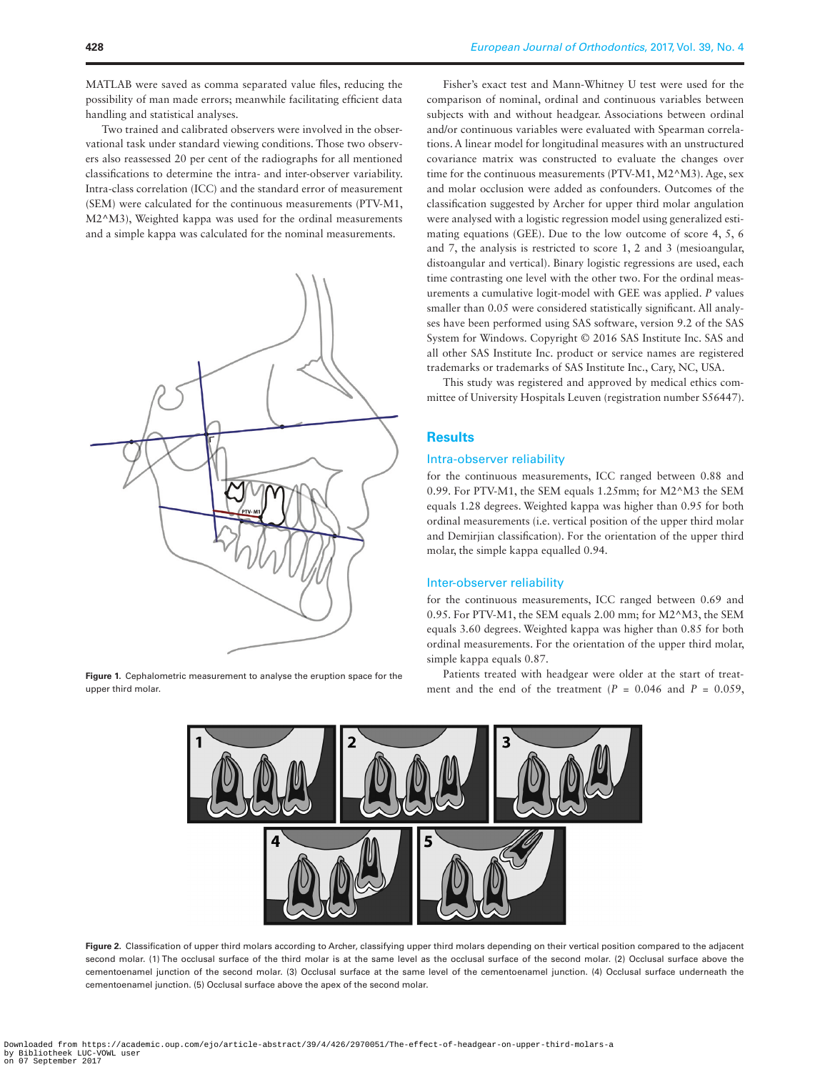MATLAB were saved as comma separated value files, reducing the possibility of man made errors; meanwhile facilitating efficient data handling and statistical analyses.

Two trained and calibrated observers were involved in the observational task under standard viewing conditions. Those two observers also reassessed 20 per cent of the radiographs for all mentioned classifications to determine the intra- and inter-observer variability. Intra-class correlation (ICC) and the standard error of measurement (SEM) were calculated for the continuous measurements (PTV-M1, M2^M3), Weighted kappa was used for the ordinal measurements and a simple kappa was calculated for the nominal measurements.



<span id="page-2-0"></span>**Figure 1.** Cephalometric measurement to analyse the eruption space for the upper third molar.

Fisher's exact test and Mann-Whitney U test were used for the comparison of nominal, ordinal and continuous variables between subjects with and without headgear. Associations between ordinal and/or continuous variables were evaluated with Spearman correlations. A linear model for longitudinal measures with an unstructured covariance matrix was constructed to evaluate the changes over time for the continuous measurements (PTV-M1, M2^M3). Age, sex and molar occlusion were added as confounders. Outcomes of the classification suggested by Archer for upper third molar angulation were analysed with a logistic regression model using generalized estimating equations (GEE). Due to the low outcome of score 4, 5, 6 and 7, the analysis is restricted to score 1, 2 and 3 (mesioangular, distoangular and vertical). Binary logistic regressions are used, each time contrasting one level with the other two. For the ordinal measurements a cumulative logit-model with GEE was applied. *P* values smaller than 0.05 were considered statistically significant. All analyses have been performed using SAS software, version 9.2 of the SAS System for Windows. Copyright © 2016 SAS Institute Inc. SAS and all other SAS Institute Inc. product or service names are registered trademarks or trademarks of SAS Institute Inc., Cary, NC, USA.

This study was registered and approved by medical ethics committee of University Hospitals Leuven (registration number S56447).

## **Results**

#### Intra-observer reliability

for the continuous measurements, ICC ranged between 0.88 and 0.99. For PTV-M1, the SEM equals 1.25mm; for M2^M3 the SEM equals 1.28 degrees. Weighted kappa was higher than 0.95 for both ordinal measurements (i.e. vertical position of the upper third molar and Demirjian classification). For the orientation of the upper third molar, the simple kappa equalled 0.94.

## Inter-observer reliability

for the continuous measurements, ICC ranged between 0.69 and 0.95. For PTV-M1, the SEM equals 2.00 mm; for M2^M3, the SEM equals 3.60 degrees. Weighted kappa was higher than 0.85 for both ordinal measurements. For the orientation of the upper third molar, simple kappa equals 0.87.

Patients treated with headgear were older at the start of treatment and the end of the treatment  $(P = 0.046$  and  $P = 0.059$ ,



<span id="page-2-1"></span>**Figure 2.** Classification of upper third molars according to Archer, classifying upper third molars depending on their vertical position compared to the adjacent second molar. (1) The occlusal surface of the third molar is at the same level as the occlusal surface of the second molar. (2) Occlusal surface above the cementoenamel junction of the second molar. (3) Occlusal surface at the same level of the cementoenamel junction. (4) Occlusal surface underneath the cementoenamel junction. (5) Occlusal surface above the apex of the second molar.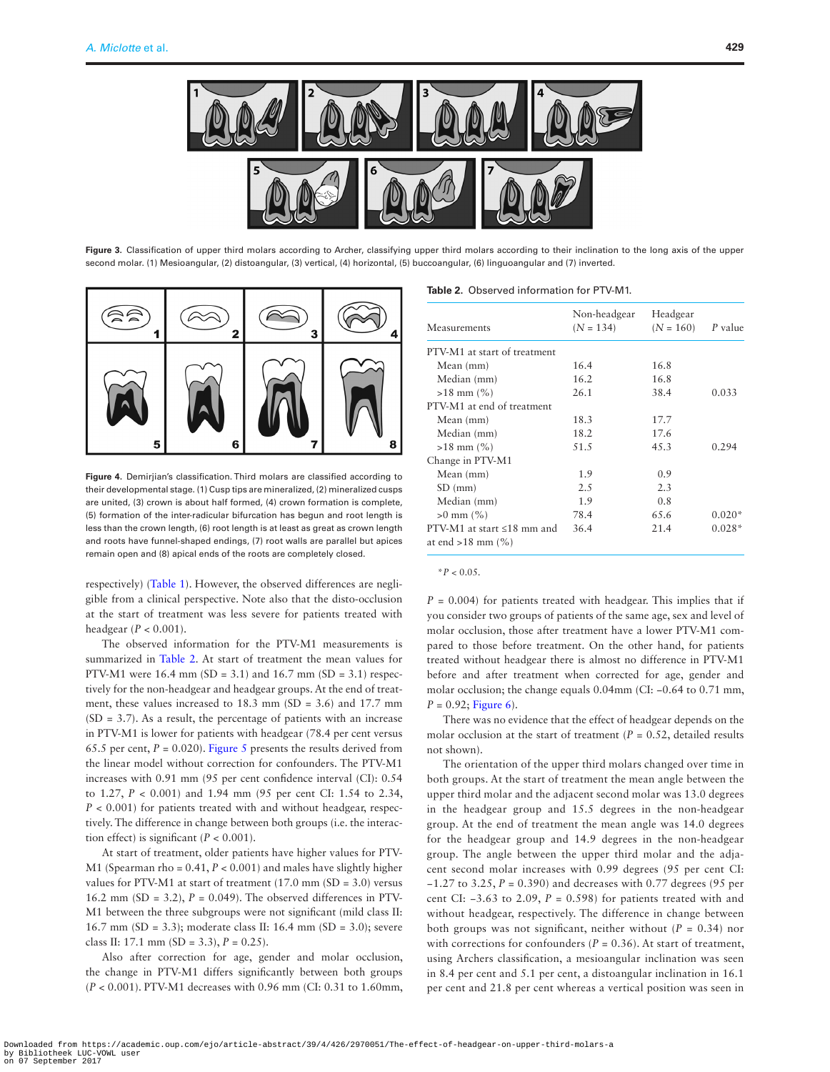

Figure 3. Classification of upper third molars according to Archer, classifying upper third molars according to their inclination to the long axis of the upper second molar. (1) Mesioangular, (2) distoangular, (3) vertical, (4) horizontal, (5) buccoangular, (6) linguoangular and (7) inverted.



<span id="page-3-1"></span>**Figure 4.** Demirjian's classification. Third molars are classified according to their developmental stage. (1) Cusp tips are mineralized, (2) mineralized cusps are united, (3) crown is about half formed, (4) crown formation is complete, (5) formation of the inter-radicular bifurcation has begun and root length is less than the crown length, (6) root length is at least as great as crown length and roots have funnel-shaped endings, (7) root walls are parallel but apices remain open and (8) apical ends of the roots are completely closed.

respectively) ([Table 1\)](#page-1-0). However, the observed differences are negligible from a clinical perspective. Note also that the disto-occlusion at the start of treatment was less severe for patients treated with headgear (*P* < 0.001).

The observed information for the PTV-M1 measurements is summarized in [Table 2](#page-3-2). At start of treatment the mean values for PTV-M1 were  $16.4$  mm (SD = 3.1) and  $16.7$  mm (SD = 3.1) respectively for the non-headgear and headgear groups. At the end of treatment, these values increased to 18.3 mm (SD = 3.6) and 17.7 mm  $(SD = 3.7)$ . As a result, the percentage of patients with an increase in PTV-M1 is lower for patients with headgear (78.4 per cent versus 65.5 per cent,  $P = 0.020$ ). [Figure 5](#page-4-0) presents the results derived from the linear model without correction for confounders. The PTV-M1 increases with 0.91 mm (95 per cent confidence interval (CI): 0.54 to 1.27, *P* < 0.001) and 1.94 mm (95 per cent CI: 1.54 to 2.34,  $P < 0.001$ ) for patients treated with and without headgear, respectively. The difference in change between both groups (i.e. the interaction effect) is significant  $(P < 0.001)$ .

At start of treatment, older patients have higher values for PTV-M1 (Spearman rho = 0.41, *P* < 0.001) and males have slightly higher values for PTV-M1 at start of treatment  $(17.0 \text{ mm (SD = 3.0)}$  versus 16.2 mm (SD = 3.2),  $P = 0.049$ ). The observed differences in PTV-M1 between the three subgroups were not significant (mild class II: 16.7 mm (SD = 3.3); moderate class II: 16.4 mm (SD = 3.0); severe class II: 17.1 mm (SD = 3.3), *P* = 0.25).

Also after correction for age, gender and molar occlusion, the change in PTV-M1 differs significantly between both groups (*P* < 0.001). PTV-M1 decreases with 0.96 mm (CI: 0.31 to 1.60mm,

### <span id="page-3-2"></span><span id="page-3-0"></span>**Table 2.** Observed information for PTV-M1.

| Measurements                                               | Non-headgear<br>$(N = 134)$ | Headgear<br>$(N = 160)$ | P value  |
|------------------------------------------------------------|-----------------------------|-------------------------|----------|
| PTV-M1 at start of treatment                               |                             |                         |          |
| Mean (mm)                                                  | 16.4                        | 16.8                    |          |
| Median (mm)                                                | 16.2                        | 16.8                    |          |
| $>18$ mm $(\% )$                                           | 26.1                        | 38.4                    | 0.033    |
| PTV-M1 at end of treatment                                 |                             |                         |          |
| Mean (mm)                                                  | 18.3                        | 17.7                    |          |
| Median (mm)                                                | 18.2                        | 17.6                    |          |
| $>18$ mm $\left(\frac{9}{6}\right)$                        | 51.5                        | 4.5.3                   | 0.294    |
| Change in PTV-M1                                           |                             |                         |          |
| Mean (mm)                                                  | 1.9                         | 0.9                     |          |
| $SD$ (mm)                                                  | 2.5                         | 2.3                     |          |
| Median (mm)                                                | 1.9                         | 0.8                     |          |
| $>0$ mm $(\% )$                                            | 78.4                        | 65.6                    | $0.020*$ |
| PTV-M1 at start $\leq 18$ mm and<br>at end $>18$ mm $(\%)$ | 36.4                        | 21.4                    | $0.028*$ |

 $*P < 0.05$ .

 $P = 0.004$  for patients treated with headgear. This implies that if you consider two groups of patients of the same age, sex and level of molar occlusion, those after treatment have a lower PTV-M1 compared to those before treatment. On the other hand, for patients treated without headgear there is almost no difference in PTV-M1 before and after treatment when corrected for age, gender and molar occlusion; the change equals 0.04mm (CI: −0.64 to 0.71 mm,  $P = 0.92$ ; [Figure 6](#page-4-1)).

There was no evidence that the effect of headgear depends on the molar occlusion at the start of treatment  $(P = 0.52$ , detailed results not shown).

The orientation of the upper third molars changed over time in both groups. At the start of treatment the mean angle between the upper third molar and the adjacent second molar was 13.0 degrees in the headgear group and 15.5 degrees in the non-headgear group. At the end of treatment the mean angle was 14.0 degrees for the headgear group and 14.9 degrees in the non-headgear group. The angle between the upper third molar and the adjacent second molar increases with 0.99 degrees (95 per cent CI: −1.27 to 3.25, *P* = 0.390) and decreases with 0.77 degrees (95 per cent CI: −3.63 to 2.09, *P* = 0.598) for patients treated with and without headgear, respectively. The difference in change between both groups was not significant, neither without  $(P = 0.34)$  nor with corrections for confounders  $(P = 0.36)$ . At start of treatment, using Archers classification, a mesioangular inclination was seen in 8.4 per cent and 5.1 per cent, a distoangular inclination in 16.1 per cent and 21.8 per cent whereas a vertical position was seen in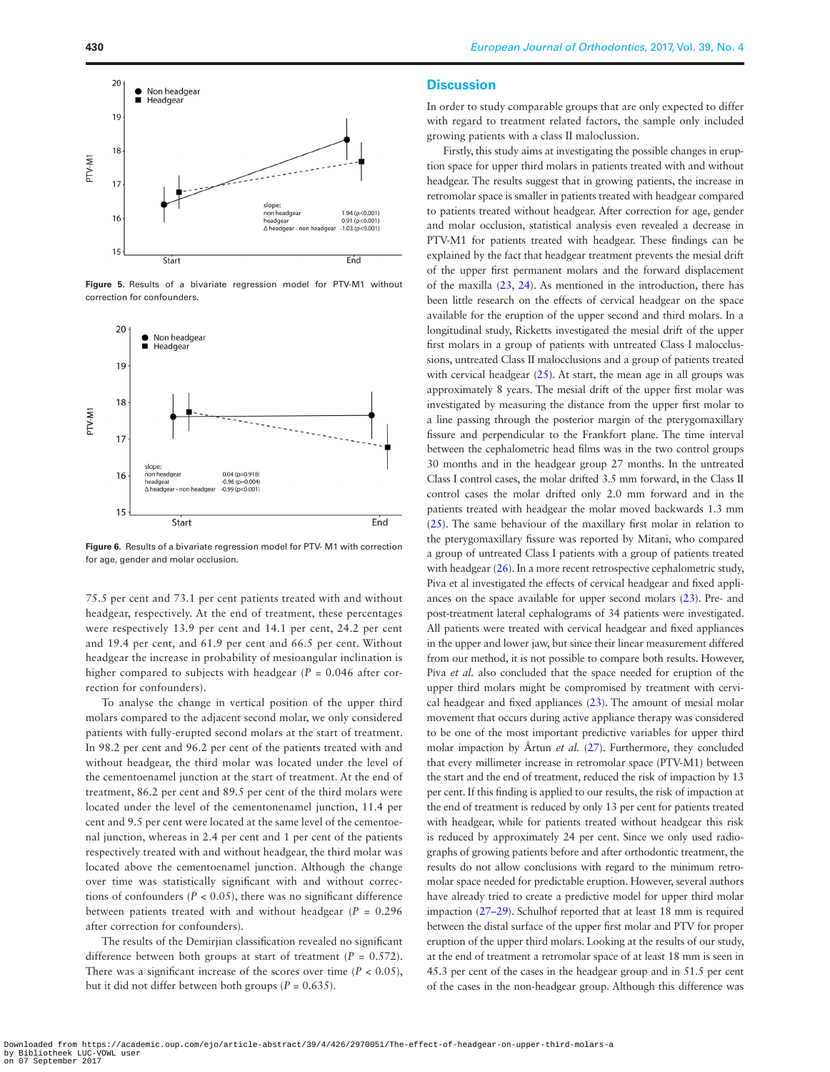

<span id="page-4-0"></span>**Figure 5.** Results of a bivariate regression model for PTV-M1 without correction for confounders.



<span id="page-4-1"></span>**Figure 6.** Results of a bivariate regression model for PTV- M1 with correction for age, gender and molar occlusion.

75.5 per cent and 73.1 per cent patients treated with and without headgear, respectively. At the end of treatment, these percentages were respectively 13.9 per cent and 14.1 per cent, 24.2 per cent and 19.4 per cent, and 61.9 per cent and 66.5 per cent. Without headgear the increase in probability of mesioangular inclination is higher compared to subjects with headgear (*P* = 0.046 after correction for confounders).

To analyse the change in vertical position of the upper third molars compared to the adjacent second molar, we only considered patients with fully-erupted second molars at the start of treatment. In 98.2 per cent and 96.2 per cent of the patients treated with and without headgear, the third molar was located under the level of the cementoenamel junction at the start of treatment. At the end of treatment, 86.2 per cent and 89.5 per cent of the third molars were located under the level of the cementonenamel junction, 11.4 per cent and 9.5 per cent were located at the same level of the cementoenal junction, whereas in 2.4 per cent and 1 per cent of the patients respectively treated with and without headgear, the third molar was located above the cementoenamel junction. Although the change over time was statistically significant with and without corrections of confounders  $(P < 0.05)$ , there was no significant difference between patients treated with and without headgear  $(P = 0.296$ after correction for confounders).

The results of the Demirjian classification revealed no significant difference between both groups at start of treatment  $(P = 0.572)$ . There was a significant increase of the scores over time  $(P < 0.05)$ , but it did not differ between both groups  $(P = 0.635)$ .

### **Discussion**

In order to study comparable groups that are only expected to differ with regard to treatment related factors, the sample only included growing patients with a class II maloclussion.

Firstly, this study aims at investigating the possible changes in eruption space for upper third molars in patients treated with and without headgear. The results suggest that in growing patients, the increase in retromolar space is smaller in patients treated with headgear compared to patients treated without headgear. After correction for age, gender and molar occlusion, statistical analysis even revealed a decrease in PTV-M1 for patients treated with headgear. These findings can be explained by the fact that headgear treatment prevents the mesial drift of the upper first permanent molars and the forward displacement of the maxilla [\(23,](#page-6-8) [24](#page-6-9)). As mentioned in the introduction, there has been little research on the effects of cervical headgear on the space available for the eruption of the upper second and third molars. In a longitudinal study, Ricketts investigated the mesial drift of the upper first molars in a group of patients with untreated Class I malocclussions, untreated Class II malocclusions and a group of patients treated with cervical headgear  $(25)$  $(25)$ . At start, the mean age in all groups was approximately 8 years. The mesial drift of the upper first molar was investigated by measuring the distance from the upper first molar to a line passing through the posterior margin of the pterygomaxillary fissure and perpendicular to the Frankfort plane. The time interval between the cephalometric head films was in the two control groups 30 months and in the headgear group 27 months. In the untreated Class I control cases, the molar drifted 3.5 mm forward, in the Class II control cases the molar drifted only 2.0 mm forward and in the patients treated with headgear the molar moved backwards 1.3 mm ([25](#page-6-10)). The same behaviour of the maxillary first molar in relation to the pterygomaxillary fissure was reported by Mitani, who compared a group of untreated Class I patients with a group of patients treated with headgear ([26](#page-6-11)). In a more recent retrospective cephalometric study, Piva et al investigated the effects of cervical headgear and fixed appliances on the space available for upper second molars [\(23\)](#page-6-8). Pre- and post-treatment lateral cephalograms of 34 patients were investigated. All patients were treated with cervical headgear and fixed appliances in the upper and lower jaw, but since their linear measurement differed from our method, it is not possible to compare both results. However, Piva *et al.* also concluded that the space needed for eruption of the upper third molars might be compromised by treatment with cervical headgear and fixed appliances [\(23\)](#page-6-8). The amount of mesial molar movement that occurs during active appliance therapy was considered to be one of the most important predictive variables for upper third molar impaction by Årtun *et al.* ([27](#page-6-12)). Furthermore, they concluded that every millimeter increase in retromolar space (PTV-M1) between the start and the end of treatment, reduced the risk of impaction by 13 per cent. If this finding is applied to our results, the risk of impaction at the end of treatment is reduced by only 13 per cent for patients treated with headgear, while for patients treated without headgear this risk is reduced by approximately 24 per cent. Since we only used radiographs of growing patients before and after orthodontic treatment, the results do not allow conclusions with regard to the minimum retromolar space needed for predictable eruption. However, several authors have already tried to create a predictive model for upper third molar impaction ([27–29\)](#page-6-12). Schulhof reported that at least 18 mm is required between the distal surface of the upper first molar and PTV for proper eruption of the upper third molars. Looking at the results of our study, at the end of treatment a retromolar space of at least 18 mm is seen in 45.3 per cent of the cases in the headgear group and in 51.5 per cent of the cases in the non-headgear group. Although this difference was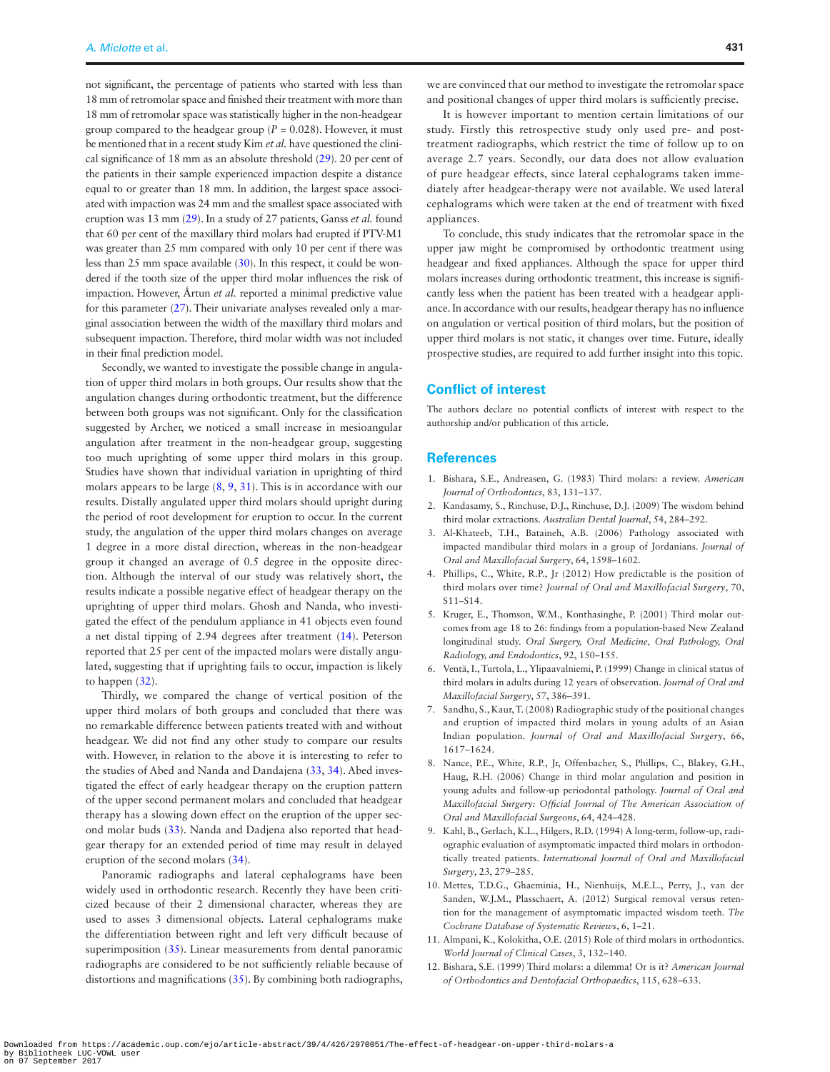not significant, the percentage of patients who started with less than 18 mm of retromolar space and finished their treatment with more than 18 mm of retromolar space was statistically higher in the non-headgear group compared to the headgear group ( $P = 0.028$ ). However, it must be mentioned that in a recent study Kim *et al.* have questioned the clinical significance of 18 mm as an absolute threshold [\(29](#page-6-13)). 20 per cent of the patients in their sample experienced impaction despite a distance equal to or greater than 18 mm. In addition, the largest space associated with impaction was 24 mm and the smallest space associated with eruption was 13 mm [\(29\)](#page-6-13). In a study of 27 patients, Ganss *et al.* found that 60 per cent of the maxillary third molars had erupted if PTV-M1 was greater than 25 mm compared with only 10 per cent if there was less than 25 mm space available ([30](#page-6-14)). In this respect, it could be wondered if the tooth size of the upper third molar influences the risk of impaction. However, Årtun et al. reported a minimal predictive value for this parameter [\(27\)](#page-6-12). Their univariate analyses revealed only a marginal association between the width of the maxillary third molars and subsequent impaction. Therefore, third molar width was not included in their final prediction model.

Secondly, we wanted to investigate the possible change in angulation of upper third molars in both groups. Our results show that the angulation changes during orthodontic treatment, but the difference between both groups was not significant. Only for the classification suggested by Archer, we noticed a small increase in mesioangular angulation after treatment in the non-headgear group, suggesting too much uprighting of some upper third molars in this group. Studies have shown that individual variation in uprighting of third molars appears to be large [\(8,](#page-5-7) [9,](#page-5-8) [31\)](#page-6-15). This is in accordance with our results. Distally angulated upper third molars should upright during the period of root development for eruption to occur. In the current study, the angulation of the upper third molars changes on average 1 degree in a more distal direction, whereas in the non-headgear group it changed an average of 0.5 degree in the opposite direction. Although the interval of our study was relatively short, the results indicate a possible negative effect of headgear therapy on the uprighting of upper third molars. Ghosh and Nanda, who investigated the effect of the pendulum appliance in 41 objects even found a net distal tipping of 2.94 degrees after treatment [\(14\)](#page-6-1). Peterson reported that 25 per cent of the impacted molars were distally angulated, suggesting that if uprighting fails to occur, impaction is likely to happen ([32\)](#page-6-16).

Thirdly, we compared the change of vertical position of the upper third molars of both groups and concluded that there was no remarkable difference between patients treated with and without headgear. We did not find any other study to compare our results with. However, in relation to the above it is interesting to refer to the studies of Abed and Nanda and Dandajena ([33](#page-6-17), [34](#page-6-18)). Abed investigated the effect of early headgear therapy on the eruption pattern of the upper second permanent molars and concluded that headgear therapy has a slowing down effect on the eruption of the upper second molar buds ([33\)](#page-6-17). Nanda and Dadjena also reported that headgear therapy for an extended period of time may result in delayed eruption of the second molars [\(34](#page-6-18)).

Panoramic radiographs and lateral cephalograms have been widely used in orthodontic research. Recently they have been criticized because of their 2 dimensional character, whereas they are used to asses 3 dimensional objects. Lateral cephalograms make the differentiation between right and left very difficult because of superimposition [\(35\)](#page-6-19). Linear measurements from dental panoramic radiographs are considered to be not sufficiently reliable because of distortions and magnifications [\(35](#page-6-19)). By combining both radiographs,

we are convinced that our method to investigate the retromolar space and positional changes of upper third molars is sufficiently precise.

It is however important to mention certain limitations of our study. Firstly this retrospective study only used pre- and posttreatment radiographs, which restrict the time of follow up to on average 2.7 years. Secondly, our data does not allow evaluation of pure headgear effects, since lateral cephalograms taken immediately after headgear-therapy were not available. We used lateral cephalograms which were taken at the end of treatment with fixed appliances.

To conclude, this study indicates that the retromolar space in the upper jaw might be compromised by orthodontic treatment using headgear and fixed appliances. Although the space for upper third molars increases during orthodontic treatment, this increase is significantly less when the patient has been treated with a headgear appliance. In accordance with our results, headgear therapy has no influence on angulation or vertical position of third molars, but the position of upper third molars is not static, it changes over time. Future, ideally prospective studies, are required to add further insight into this topic.

## **Conflict of interest**

The authors declare no potential conflicts of interest with respect to the authorship and/or publication of this article.

### **References**

- <span id="page-5-0"></span>1. Bishara, S.E., Andreasen, G. (1983) Third molars: a review. *American Journal of Orthodontics*, 83, 131–137.
- <span id="page-5-1"></span>2. Kandasamy, S., Rinchuse, D.J., Rinchuse, D.J. (2009) The wisdom behind third molar extractions. *Australian Dental Journal*, 54, 284–292.
- <span id="page-5-2"></span>3. Al-Khateeb, T.H., Bataineh, A.B. (2006) Pathology associated with impacted mandibular third molars in a group of Jordanians. *Journal of Oral and Maxillofacial Surgery*, 64, 1598–1602.
- <span id="page-5-3"></span>4. Phillips, C., White, R.P., Jr (2012) How predictable is the position of third molars over time? *Journal of Oral and Maxillofacial Surgery*, 70, S11–S14.
- 5. Kruger, E., Thomson, W.M., Konthasinghe, P. (2001) Third molar outcomes from age 18 to 26: findings from a population-based New Zealand longitudinal study. *Oral Surgery, Oral Medicine, Oral Pathology, Oral Radiology, and Endodontics*, 92, 150–155.
- 6. Ventä, I., Turtola, L., Ylipaavalniemi, P. (1999) Change in clinical status of third molars in adults during 12 years of observation. *Journal of Oral and Maxillofacial Surgery*, 57, 386–391.
- 7. Sandhu, S., Kaur, T. (2008) Radiographic study of the positional changes and eruption of impacted third molars in young adults of an Asian Indian population. *Journal of Oral and Maxillofacial Surgery*, 66, 1617–1624.
- <span id="page-5-7"></span>8. Nance, P.E., White, R.P., Jr, Offenbacher, S., Phillips, C., Blakey, G.H., Haug, R.H. (2006) Change in third molar angulation and position in young adults and follow-up periodontal pathology. *Journal of Oral and Maxillofacial Surgery: Official Journal of The American Association of Oral and Maxillofacial Surgeons*, 64, 424–428.
- <span id="page-5-8"></span>9. Kahl, B., Gerlach, K.L., Hilgers, R.D. (1994) A long-term, follow-up, radiographic evaluation of asymptomatic impacted third molars in orthodontically treated patients. *International Journal of Oral and Maxillofacial Surgery*, 23, 279–285.
- <span id="page-5-4"></span>10. Mettes, T.D.G., Ghaeminia, H., Nienhuijs, M.E.L., Perry, J., van der Sanden, W.J.M., Plasschaert, A. (2012) Surgical removal versus retention for the management of asymptomatic impacted wisdom teeth. *The Cochrane Database of Systematic Reviews*, 6, 1–21.
- <span id="page-5-5"></span>11. Almpani, K., Kolokitha, O.E. (2015) Role of third molars in orthodontics. *World Journal of Clinical Cases*, 3, 132–140.
- <span id="page-5-6"></span>12. Bishara, S.E. (1999) Third molars: a dilemma! Or is it? *American Journal of Orthodontics and Dentofacial Orthopaedics*, 115, 628–633.